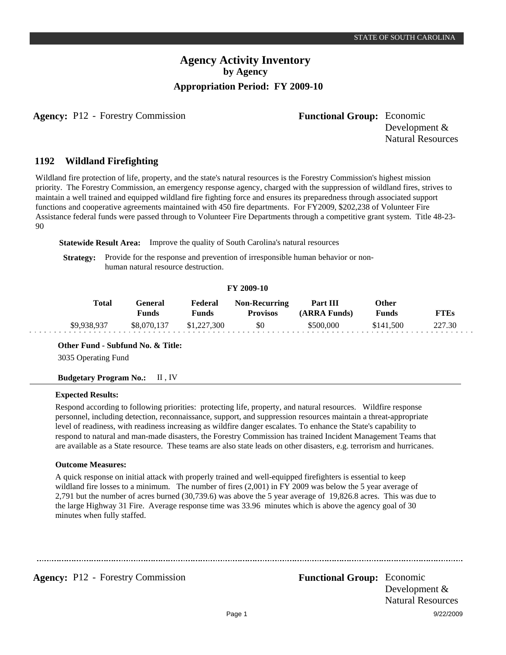**Agency:** P12 - Forestry Commission **Functional Group:** Economic

Development &

Natural Resources

#### **Wildland Firefighting 1192**

Wildland fire protection of life, property, and the state's natural resources is the Forestry Commission's highest mission priority. The Forestry Commission, an emergency response agency, charged with the suppression of wildland fires, strives to maintain a well trained and equipped wildland fire fighting force and ensures its preparedness through associated support functions and cooperative agreements maintained with 450 fire departments. For FY2009, \$202,238 of Volunteer Fire Assistance federal funds were passed through to Volunteer Fire Departments through a competitive grant system. Title 48-23- 90

**Statewide Result Area:** Improve the quality of South Carolina's natural resources

**Strategy:** Provide for the response and prevention of irresponsible human behavior or nonhuman natural resource destruction.

## **FY 2009-10**

| Total       | General)<br>Funds | Federal<br><b>Funds</b> | <b>Non-Recurring</b><br><b>Provisos</b> | Part III<br>(ARRA Funds) | Other<br>Funds | <b>FTEs</b> |
|-------------|-------------------|-------------------------|-----------------------------------------|--------------------------|----------------|-------------|
| \$9,938,937 | \$8,070,137       | \$1,227,300             | \$0                                     | \$500,000                | \$141.500      | 227.30      |

**Other Fund - Subfund No. & Title:**

3035 Operating Fund

**Budgetary Program No.:** II, IV

## **Expected Results:**

Respond according to following priorities: protecting life, property, and natural resources. Wildfire response personnel, including detection, reconnaissance, support, and suppression resources maintain a threat-appropriate level of readiness, with readiness increasing as wildfire danger escalates. To enhance the State's capability to respond to natural and man-made disasters, the Forestry Commission has trained Incident Management Teams that are available as a State resource. These teams are also state leads on other disasters, e.g. terrorism and hurricanes.

### **Outcome Measures:**

A quick response on initial attack with properly trained and well-equipped firefighters is essential to keep wildland fire losses to a minimum. The number of fires (2,001) in FY 2009 was below the 5 year average of 2,791 but the number of acres burned (30,739.6) was above the 5 year average of 19,826.8 acres. This was due to the large Highway 31 Fire. Average response time was 33.96 minutes which is above the agency goal of 30 minutes when fully staffed.

**Agency:** P12 - Forestry Commission **Functional Group:** Economic

Development & Natural Resources Page 1 9/22/2009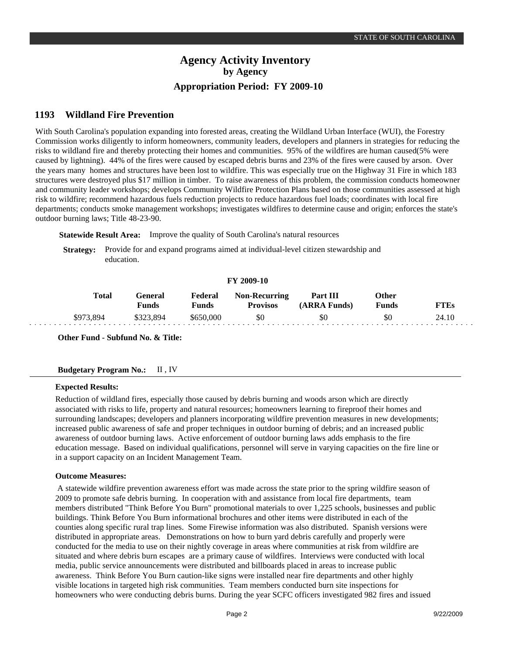#### **Wildland Fire Prevention 1193**

With South Carolina's population expanding into forested areas, creating the Wildland Urban Interface (WUI), the Forestry Commission works diligently to inform homeowners, community leaders, developers and planners in strategies for reducing the risks to wildland fire and thereby protecting their homes and communities. 95% of the wildfires are human caused(5% were caused by lightning). 44% of the fires were caused by escaped debris burns and 23% of the fires were caused by arson. Over the years many homes and structures have been lost to wildfire. This was especially true on the Highway 31 Fire in which 183 structures were destroyed plus \$17 million in timber. To raise awareness of this problem, the commission conducts homeowner and community leader workshops; develops Community Wildfire Protection Plans based on those communities assessed at high risk to wildfire; recommend hazardous fuels reduction projects to reduce hazardous fuel loads; coordinates with local fire departments; conducts smoke management workshops; investigates wildfires to determine cause and origin; enforces the state's outdoor burning laws; Title 48-23-90.

**Statewide Result Area:** Improve the quality of South Carolina's natural resources

**Strategy:** Provide for and expand programs aimed at individual-level citizen stewardship and education.

|              |                         |                  | FY 2009-10                              |                          |                              |             |
|--------------|-------------------------|------------------|-----------------------------------------|--------------------------|------------------------------|-------------|
| <b>Total</b> | <b>General</b><br>Funds | Federal<br>Funds | <b>Non-Recurring</b><br><b>Provisos</b> | Part III<br>(ARRA Funds) | <b>Other</b><br><b>Funds</b> | <b>FTEs</b> |
| \$973.894    | \$323.894               | \$650,000        | \$0                                     | \$0                      | \$0                          | 24.10       |

**Other Fund - Subfund No. & Title:**

### **Budgetary Program No.:** II , IV

### **Expected Results:**

Reduction of wildland fires, especially those caused by debris burning and woods arson which are directly associated with risks to life, property and natural resources; homeowners learning to fireproof their homes and surrounding landscapes; developers and planners incorporating wildfire prevention measures in new developments; increased public awareness of safe and proper techniques in outdoor burning of debris; and an increased public awareness of outdoor burning laws. Active enforcement of outdoor burning laws adds emphasis to the fire education message. Based on individual qualifications, personnel will serve in varying capacities on the fire line or in a support capacity on an Incident Management Team.

### **Outcome Measures:**

 A statewide wildfire prevention awareness effort was made across the state prior to the spring wildfire season of 2009 to promote safe debris burning. In cooperation with and assistance from local fire departments, team members distributed "Think Before You Burn" promotional materials to over 1,225 schools, businesses and public buildings. Think Before You Burn informational brochures and other items were distributed in each of the counties along specific rural trap lines. Some Firewise information was also distributed. Spanish versions were distributed in appropriate areas. Demonstrations on how to burn yard debris carefully and properly were conducted for the media to use on their nightly coverage in areas where communities at risk from wildfire are situated and where debris burn escapes are a primary cause of wildfires. Interviews were conducted with local media, public service announcements were distributed and billboards placed in areas to increase public awareness. Think Before You Burn caution-like signs were installed near fire departments and other highly visible locations in targeted high risk communities. Team members conducted burn site inspections for homeowners who were conducting debris burns. During the year SCFC officers investigated 982 fires and issued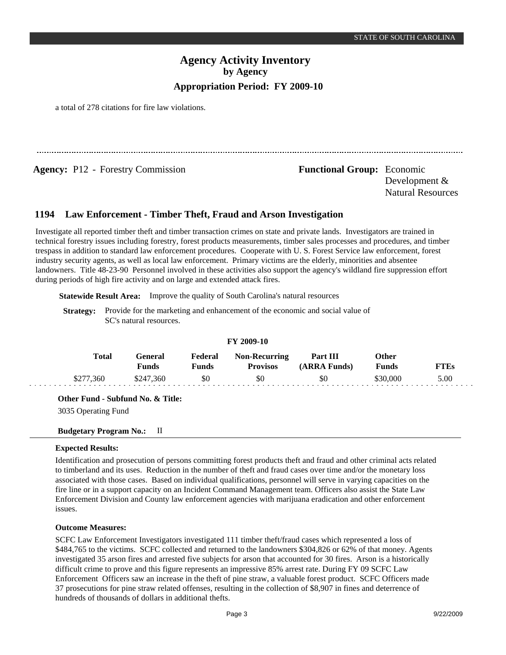a total of 278 citations for fire law violations.

**Agency:** P12 - Forestry Commission **Functional Group:** Economic Development & Natural Resources

#### **Law Enforcement - Timber Theft, Fraud and Arson Investigation 1194**

Investigate all reported timber theft and timber transaction crimes on state and private lands. Investigators are trained in technical forestry issues including forestry, forest products measurements, timber sales processes and procedures, and timber trespass in addition to standard law enforcement procedures. Cooperate with U. S. Forest Service law enforcement, forest industry security agents, as well as local law enforcement. Primary victims are the elderly, minorities and absentee landowners. Title 48-23-90 Personnel involved in these activities also support the agency's wildland fire suppression effort during periods of high fire activity and on large and extended attack fires.

**Statewide Result Area:** Improve the quality of South Carolina's natural resources

**Strategy:** Provide for the marketing and enhancement of the economic and social value of SC's natural resources.

|              |                         |                  | F I 2009-10                             |                          |                       |      |
|--------------|-------------------------|------------------|-----------------------------------------|--------------------------|-----------------------|------|
| <b>Total</b> | General<br><b>Funds</b> | Federal<br>Funds | <b>Non-Recurring</b><br><b>Provisos</b> | Part III<br>(ARRA Funds) | Other<br><b>Funds</b> | FTEs |
| \$277,360    | \$247.360               | \$0              | \$0                                     | \$0                      | \$30,000              | 5.00 |

**FY 2009-10**

**Other Fund - Subfund No. & Title:**

3035 Operating Fund

**Budgetary Program No.:** II

## **Expected Results:**

Identification and prosecution of persons committing forest products theft and fraud and other criminal acts related to timberland and its uses. Reduction in the number of theft and fraud cases over time and/or the monetary loss associated with those cases. Based on individual qualifications, personnel will serve in varying capacities on the fire line or in a support capacity on an Incident Command Management team. Officers also assist the State Law Enforcement Division and County law enforcement agencies with marijuana eradication and other enforcement issues.

### **Outcome Measures:**

SCFC Law Enforcement Investigators investigated 111 timber theft/fraud cases which represented a loss of \$484,765 to the victims. SCFC collected and returned to the landowners \$304,826 or 62% of that money. Agents investigated 35 arson fires and arrested five subjects for arson that accounted for 30 fires. Arson is a historically difficult crime to prove and this figure represents an impressive 85% arrest rate. During FY 09 SCFC Law Enforcement Officers saw an increase in the theft of pine straw, a valuable forest product. SCFC Officers made 37 prosecutions for pine straw related offenses, resulting in the collection of \$8,907 in fines and deterrence of hundreds of thousands of dollars in additional thefts.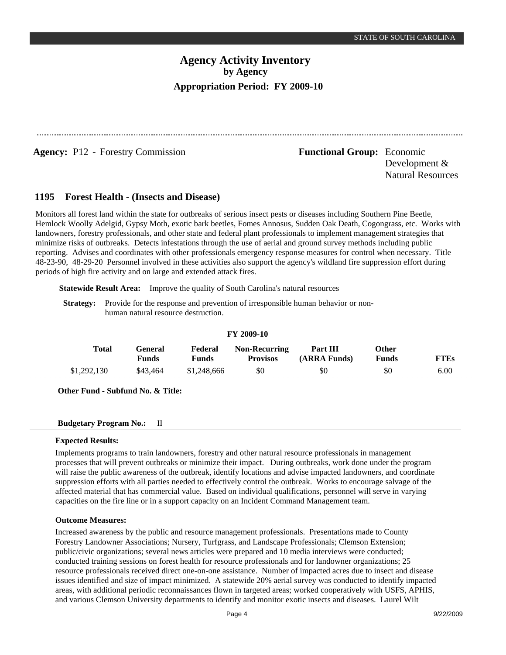**Agency:** P12 - Forestry Commission **Functional Group:** Economic

Development & Natural Resources

#### **Forest Health - (Insects and Disease) 1195**

Monitors all forest land within the state for outbreaks of serious insect pests or diseases including Southern Pine Beetle, Hemlock Woolly Adelgid, Gypsy Moth, exotic bark beetles, Fomes Annosus, Sudden Oak Death, Cogongrass, etc. Works with landowners, forestry professionals, and other state and federal plant professionals to implement management strategies that minimize risks of outbreaks. Detects infestations through the use of aerial and ground survey methods including public reporting. Advises and coordinates with other professionals emergency response measures for control when necessary. Title 48-23-90, 48-29-20 Personnel involved in these activities also support the agency's wildland fire suppression effort during periods of high fire activity and on large and extended attack fires.

**Statewide Result Area:** Improve the quality of South Carolina's natural resources

**Strategy:** Provide for the response and prevention of irresponsible human behavior or nonhuman natural resource destruction.

## **FY 2009-10**

| <b>Total</b> | ÷eneral<br><b>Funds</b> | Federal<br>प <b>unds</b> | <b>Non-Recurring</b><br><b>Provisos</b> | Part III<br>(ARRA Funds) | <b>Other</b><br><b>Funds</b> | TTEs |
|--------------|-------------------------|--------------------------|-----------------------------------------|--------------------------|------------------------------|------|
| \$1,292,130  | 43.464                  | .666<br>ື⊥⊷–⊤∪∙          | \$0                                     | \$0                      | \$0                          | 6.00 |

**Other Fund - Subfund No. & Title:**

## **Budgetary Program No.:** II

## **Expected Results:**

Implements programs to train landowners, forestry and other natural resource professionals in management processes that will prevent outbreaks or minimize their impact. During outbreaks, work done under the program will raise the public awareness of the outbreak, identify locations and advise impacted landowners, and coordinate suppression efforts with all parties needed to effectively control the outbreak. Works to encourage salvage of the affected material that has commercial value. Based on individual qualifications, personnel will serve in varying capacities on the fire line or in a support capacity on an Incident Command Management team.

## **Outcome Measures:**

Increased awareness by the public and resource management professionals. Presentations made to County Forestry Landowner Associations; Nursery, Turfgrass, and Landscape Professionals; Clemson Extension; public/civic organizations; several news articles were prepared and 10 media interviews were conducted; conducted training sessions on forest health for resource professionals and for landowner organizations; 25 resource professionals received direct one-on-one assistance. Number of impacted acres due to insect and disease issues identified and size of impact minimized. A statewide 20% aerial survey was conducted to identify impacted areas, with additional periodic reconnaissances flown in targeted areas; worked cooperatively with USFS, APHIS, and various Clemson University departments to identify and monitor exotic insects and diseases. Laurel Wilt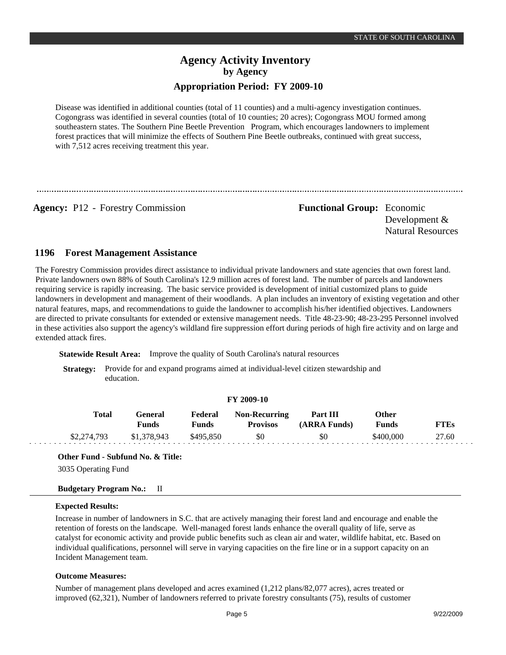Disease was identified in additional counties (total of 11 counties) and a multi-agency investigation continues. Cogongrass was identified in several counties (total of 10 counties; 20 acres); Cogongrass MOU formed among southeastern states. The Southern Pine Beetle Prevention Program, which encourages landowners to implement forest practices that will minimize the effects of Southern Pine Beetle outbreaks, continued with great success, with 7,512 acres receiving treatment this year.

**Agency:** P12 - Forestry Commission Functional Group: Economic Development & Natural Resources

#### **Forest Management Assistance 1196**

The Forestry Commission provides direct assistance to individual private landowners and state agencies that own forest land. Private landowners own 88% of South Carolina's 12.9 million acres of forest land. The number of parcels and landowners requiring service is rapidly increasing. The basic service provided is development of initial customized plans to guide landowners in development and management of their woodlands. A plan includes an inventory of existing vegetation and other natural features, maps, and recommendations to guide the landowner to accomplish his/her identified objectives. Landowners are directed to private consultants for extended or extensive management needs. Title 48-23-90; 48-23-295 Personnel involved in these activities also support the agency's wildland fire suppression effort during periods of high fire activity and on large and extended attack fires.

**Statewide Result Area:** Improve the quality of South Carolina's natural resources

**Strategy:** Provide for and expand programs aimed at individual-level citizen stewardship and education.

|              | <b>FY 2009-10</b>       |                         |                                         |                          |                       |       |  |  |  |
|--------------|-------------------------|-------------------------|-----------------------------------------|--------------------------|-----------------------|-------|--|--|--|
| <b>Total</b> | General<br><b>Funds</b> | Federal<br><b>Funds</b> | <b>Non-Recurring</b><br><b>Provisos</b> | Part III<br>(ARRA Funds) | Other<br><b>Funds</b> | FTEs  |  |  |  |
| \$2,274,793  | \$1,378,943             | \$495.850               | \$0                                     | \$0                      | \$400,000             | 27.60 |  |  |  |

**Other Fund - Subfund No. & Title:**

3035 Operating Fund

## **Budgetary Program No.:** II

## **Expected Results:**

Increase in number of landowners in S.C. that are actively managing their forest land and encourage and enable the retention of forests on the landscape. Well-managed forest lands enhance the overall quality of life, serve as catalyst for economic activity and provide public benefits such as clean air and water, wildlife habitat, etc. Based on individual qualifications, personnel will serve in varying capacities on the fire line or in a support capacity on an Incident Management team.

## **Outcome Measures:**

Number of management plans developed and acres examined (1,212 plans/82,077 acres), acres treated or improved (62,321), Number of landowners referred to private forestry consultants (75), results of customer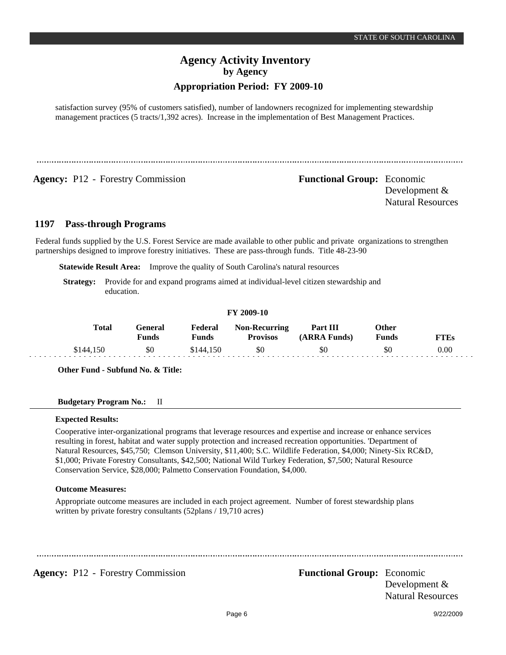# **Agency Activity Inventory by Agency**

## **Appropriation Period: FY 2009-10**

satisfaction survey (95% of customers satisfied), number of landowners recognized for implementing stewardship management practices (5 tracts/1,392 acres). Increase in the implementation of Best Management Practices.

**Agency:** P12 - Forestry Commission **Functional Group:** Economic

Development & Natural Resources

#### **Pass-through Programs 1197**

Federal funds supplied by the U.S. Forest Service are made available to other public and private organizations to strengthen partnerships designed to improve forestry initiatives. These are pass-through funds. Title 48-23-90

**Statewide Result Area:** Improve the quality of South Carolina's natural resources

**Strategy:** Provide for and expand programs aimed at individual-level citizen stewardship and education.

## **FY 2009-10**

| <b>Total</b> | General<br><b>Funds</b> | Federal<br>Funds | <b>Non-Recurring</b><br><b>Provisos</b> | Part III<br>(ARRA Funds) | Other<br><b>Funds</b> | <b>FTEs</b> |
|--------------|-------------------------|------------------|-----------------------------------------|--------------------------|-----------------------|-------------|
| \$144,150    | \$0                     | \$144.150        | \$0                                     | \$0                      | \$0                   | 0.00        |

**Other Fund - Subfund No. & Title:**

### **Budgetary Program No.:** II

### **Expected Results:**

Cooperative inter-organizational programs that leverage resources and expertise and increase or enhance services resulting in forest, habitat and water supply protection and increased recreation opportunities. 'Department of Natural Resources, \$45,750; Clemson University, \$11,400; S.C. Wildlife Federation, \$4,000; Ninety-Six RC&D, \$1,000; Private Forestry Consultants, \$42,500; National Wild Turkey Federation, \$7,500; Natural Resource Conservation Service, \$28,000; Palmetto Conservation Foundation, \$4,000.

## **Outcome Measures:**

Appropriate outcome measures are included in each project agreement. Number of forest stewardship plans written by private forestry consultants (52plans / 19,710 acres)

**Agency:** P12 - Forestry Commission **Functional Group:** Economic

Development & Natural Resources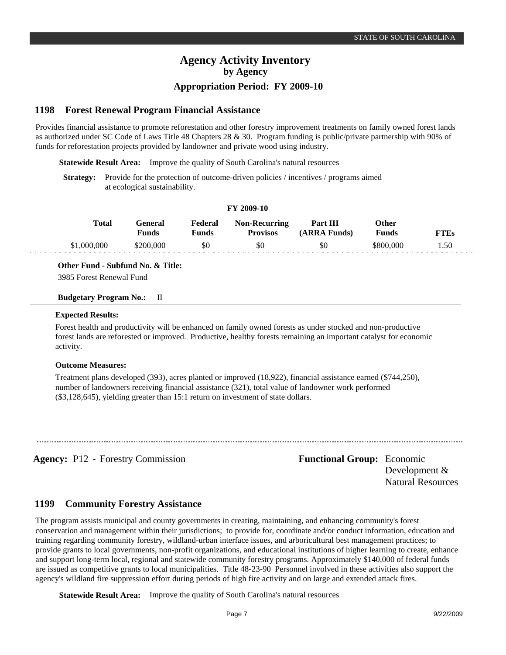#### **Forest Renewal Program Financial Assistance 1198**

Provides financial assistance to promote reforestation and other forestry improvement treatments on family owned forest lands as authorized under SC Code of Laws Title 48 Chapters 28 & 30. Program funding is public/private partnership with 90% of funds for reforestation projects provided by landowner and private wood using industry.

**Statewide Result Area:** Improve the quality of South Carolina's natural resources

**Strategy:** Provide for the protection of outcome-driven policies / incentives / programs aimed at ecological sustainability.

### **FY 2009-10**

| <b>Total</b> | :eneral<br>√unds | Federal<br>$\tau_{\bf unde}$ | <b>Non-Recurring</b><br>Provisos | Part III<br>Funds) | Other |      |
|--------------|------------------|------------------------------|----------------------------------|--------------------|-------|------|
| നവ<br>ററ     | 0 OOC<br>20 U    | \$0                          | \$0                              | 80                 | .000  | 1.50 |

**Other Fund - Subfund No. & Title:**

3985 Forest Renewal Fund

## **Budgetary Program No.:** II

## **Expected Results:**

Forest health and productivity will be enhanced on family owned forests as under stocked and non-productive forest lands are reforested or improved. Productive, healthy forests remaining an important catalyst for economic activity.

## **Outcome Measures:**

Treatment plans developed (393), acres planted or improved (18,922), financial assistance earned (\$744,250), number of landowners receiving financial assistance (321), total value of landowner work performed (\$3,128,645), yielding greater than 15:1 return on investment of state dollars.

**Agency:** P12 - Forestry Commission **Functional Group:** Economic Development & Natural Resources

#### **Community Forestry Assistance 1199**

The program assists municipal and county governments in creating, maintaining, and enhancing community's forest conservation and management within their jurisdictions; to provide for, coordinate and/or conduct information, education and training regarding community forestry, wildland-urban interface issues, and arboricultural best management practices; to provide grants to local governments, non-profit organizations, and educational institutions of higher learning to create, enhance and support long-term local, regional and statewide community forestry programs. Approximately \$140,000 of federal funds are issued as competitive grants to local municipalities. Title 48-23-90 Personnel involved in these activities also support the agency's wildland fire suppression effort during periods of high fire activity and on large and extended attack fires.

**Statewide Result Area:** Improve the quality of South Carolina's natural resources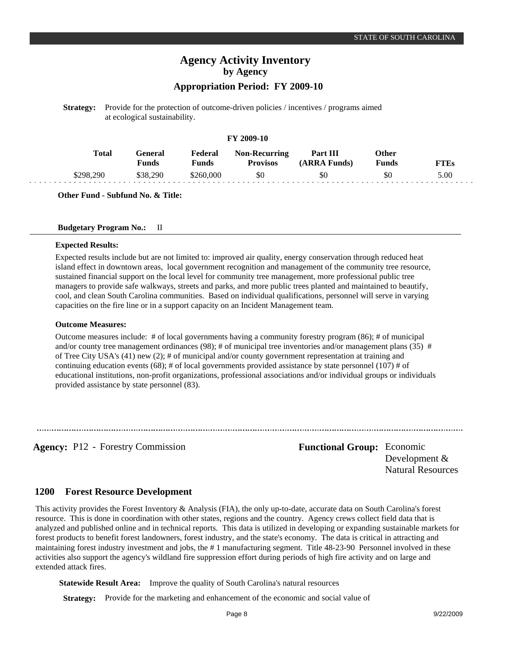# **Agency Activity Inventory by Agency**

## **Appropriation Period: FY 2009-10**

**Strategy:** Provide for the protection of outcome-driven policies / incentives / programs aimed at ecological sustainability.

## **FY 2009-10**

| Total     | General<br><b>Funds</b> | Federal<br>Funds | <b>Non-Recurring</b><br><b>Provisos</b> | Part III<br>(ARRA Funds) | )ther<br>Funds |      |
|-----------|-------------------------|------------------|-----------------------------------------|--------------------------|----------------|------|
| \$298,290 | \$38,290                | \$260,000        | \$0                                     | \$0                      | SC             | 5.00 |

**Other Fund - Subfund No. & Title:**

### **Budgetary Program No.:** II

### **Expected Results:**

Expected results include but are not limited to: improved air quality, energy conservation through reduced heat island effect in downtown areas, local government recognition and management of the community tree resource, sustained financial support on the local level for community tree management, more professional public tree managers to provide safe walkways, streets and parks, and more public trees planted and maintained to beautify, cool, and clean South Carolina communities. Based on individual qualifications, personnel will serve in varying capacities on the fire line or in a support capacity on an Incident Management team.

### **Outcome Measures:**

Outcome measures include: # of local governments having a community forestry program (86); # of municipal and/or county tree management ordinances (98); # of municipal tree inventories and/or management plans (35) # of Tree City USA's (41) new (2); # of municipal and/or county government representation at training and continuing education events (68); # of local governments provided assistance by state personnel (107) # of educational institutions, non-profit organizations, professional associations and/or individual groups or individuals provided assistance by state personnel (83).

**Agency:** P12 - Forestry Commission **Functional Group:** Economic

Development & Natural Resources

#### **Forest Resource Development 1200**

This activity provides the Forest Inventory & Analysis (FIA), the only up-to-date, accurate data on South Carolina's forest resource. This is done in coordination with other states, regions and the country. Agency crews collect field data that is analyzed and published online and in technical reports. This data is utilized in developing or expanding sustainable markets for forest products to benefit forest landowners, forest industry, and the state's economy. The data is critical in attracting and maintaining forest industry investment and jobs, the # 1 manufacturing segment. Title 48-23-90 Personnel involved in these activities also support the agency's wildland fire suppression effort during periods of high fire activity and on large and extended attack fires.

**Statewide Result Area:** Improve the quality of South Carolina's natural resources

**Strategy:** Provide for the marketing and enhancement of the economic and social value of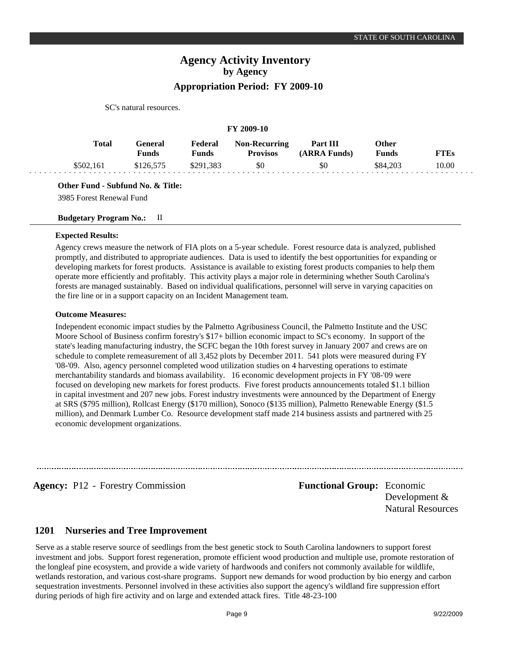SC's natural resources.

|           |                         | <b>FY 2009-10</b> |                                         |                          |                       |             |  |  |  |  |
|-----------|-------------------------|-------------------|-----------------------------------------|--------------------------|-----------------------|-------------|--|--|--|--|
| Total     | General<br><b>Funds</b> | Federal<br>Funds  | <b>Non-Recurring</b><br><b>Provisos</b> | Part III<br>(ARRA Funds) | Other<br><b>Funds</b> | <b>FTEs</b> |  |  |  |  |
| \$502.161 | \$126,575               | \$291.383         | \$0                                     | \$0                      | \$84.203              | 10.00       |  |  |  |  |

**Other Fund - Subfund No. & Title:**

3985 Forest Renewal Fund

**Budgetary Program No.:** II

## **Expected Results:**

Agency crews measure the network of FIA plots on a 5-year schedule. Forest resource data is analyzed, published promptly, and distributed to appropriate audiences. Data is used to identify the best opportunities for expanding or developing markets for forest products. Assistance is available to existing forest products companies to help them operate more efficiently and profitably. This activity plays a major role in determining whether South Carolina's forests are managed sustainably. Based on individual qualifications, personnel will serve in varying capacities on the fire line or in a support capacity on an Incident Management team.

## **Outcome Measures:**

Independent economic impact studies by the Palmetto Agribusiness Council, the Palmetto Institute and the USC Moore School of Business confirm forestry's \$17+ billion economic impact to SC's economy. In support of the state's leading manufacturing industry, the SCFC began the 10th forest survey in January 2007 and crews are on schedule to complete remeasurement of all 3,452 plots by December 2011. 541 plots were measured during FY '08-'09. Also, agency personnel completed wood utilization studies on 4 harvesting operations to estimate merchantability standards and biomass availability. 16 economic development projects in FY '08-'09 were focused on developing new markets for forest products. Five forest products announcements totaled \$1.1 billion in capital investment and 207 new jobs. Forest industry investments were announced by the Department of Energy at SRS (\$795 million), Rollcast Energy (\$170 million), Sonoco (\$135 million), Palmetto Renewable Energy (\$1.5 million), and Denmark Lumber Co. Resource development staff made 214 business assists and partnered with 25 economic development organizations.

**Agency:** P12 - Forestry Commission **Functional Group:** Economic Development & Natural Resources

#### **Nurseries and Tree Improvement 1201**

Serve as a stable reserve source of seedlings from the best genetic stock to South Carolina landowners to support forest investment and jobs. Support forest regeneration, promote efficient wood production and multiple use, promote restoration of the longleaf pine ecosystem, and provide a wide variety of hardwoods and conifers not commonly available for wildlife, wetlands restoration, and various cost-share programs. Support new demands for wood production by bio energy and carbon sequestration investments. Personnel involved in these activities also support the agency's wildland fire suppression effort during periods of high fire activity and on large and extended attack fires. Title 48-23-100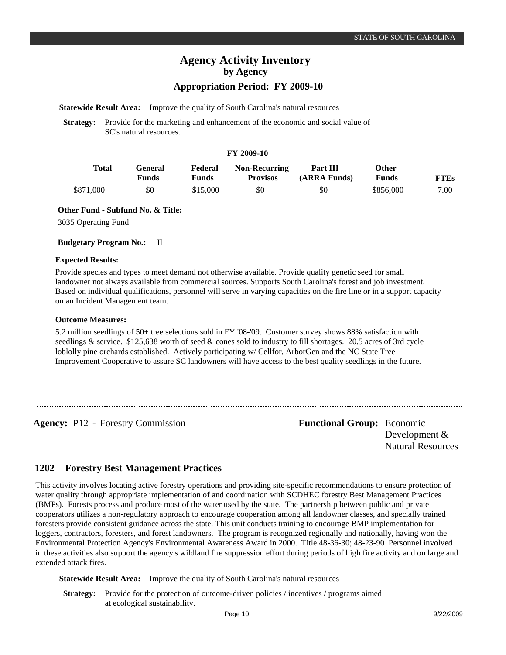**Statewide Result Area:** Improve the quality of South Carolina's natural resources

**Strategy:** Provide for the marketing and enhancement of the economic and social value of SC's natural resources.

## **FY 2009-10**

| <b>Total</b> | General<br><b>Funds</b> | Federal<br>Funds | <b>Non-Recurring</b><br><b>Provisos</b> | Part III<br>(ARRA Funds) | Other<br>Funds | <b>FTEs</b> |
|--------------|-------------------------|------------------|-----------------------------------------|--------------------------|----------------|-------------|
| \$871,000    | \$0                     | \$15,000         | \$0                                     | \$0                      | \$856,000      | 7.00        |

**Other Fund - Subfund No. & Title:**

3035 Operating Fund

## **Budgetary Program No.:** II

## **Expected Results:**

Provide species and types to meet demand not otherwise available. Provide quality genetic seed for small landowner not always available from commercial sources. Supports South Carolina's forest and job investment. Based on individual qualifications, personnel will serve in varying capacities on the fire line or in a support capacity on an Incident Management team.

## **Outcome Measures:**

5.2 million seedlings of 50+ tree selections sold in FY '08-'09. Customer survey shows 88% satisfaction with seedlings & service. \$125,638 worth of seed & cones sold to industry to fill shortages. 20.5 acres of 3rd cycle loblolly pine orchards established. Actively participating w/ Cellfor, ArborGen and the NC State Tree Improvement Cooperative to assure SC landowners will have access to the best quality seedlings in the future.

**Agency:** P12 - Forestry Commission **Functional Group:** Economic

Development & Natural Resources

#### **Forestry Best Management Practices 1202**

This activity involves locating active forestry operations and providing site-specific recommendations to ensure protection of water quality through appropriate implementation of and coordination with SCDHEC forestry Best Management Practices (BMPs). Forests process and produce most of the water used by the state. The partnership between public and private cooperators utilizes a non-regulatory approach to encourage cooperation among all landowner classes, and specially trained foresters provide consistent guidance across the state. This unit conducts training to encourage BMP implementation for loggers, contractors, foresters, and forest landowners. The program is recognized regionally and nationally, having won the Environmental Protection Agency's Environmental Awareness Award in 2000. Title 48-36-30; 48-23-90 Personnel involved in these activities also support the agency's wildland fire suppression effort during periods of high fire activity and on large and extended attack fires.

**Statewide Result Area:** Improve the quality of South Carolina's natural resources

**Strategy:** Provide for the protection of outcome-driven policies / incentives / programs aimed at ecological sustainability.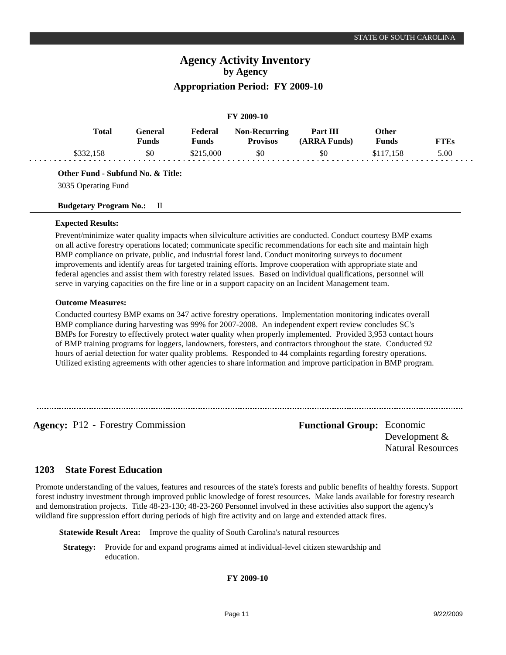## **FY 2009-10**

| <b>Total</b> | <b>General</b><br><b>Funds</b> | Federal<br><b>Funds</b> | Non-Recurring<br><b>Provisos</b> | Part III<br>(ARRA Funds) | <b>Other</b><br><b>Funds</b> | <b>FTEs</b> |
|--------------|--------------------------------|-------------------------|----------------------------------|--------------------------|------------------------------|-------------|
| \$332,158    | \$0                            | \$215,000               | \$0                              | \$0                      | \$117.158                    | 5.00        |

3035 Operating Fund

## **Budgetary Program No.:** II

## **Expected Results:**

Prevent/minimize water quality impacts when silviculture activities are conducted. Conduct courtesy BMP exams on all active forestry operations located; communicate specific recommendations for each site and maintain high BMP compliance on private, public, and industrial forest land. Conduct monitoring surveys to document improvements and identify areas for targeted training efforts. Improve cooperation with appropriate state and federal agencies and assist them with forestry related issues. Based on individual qualifications, personnel will serve in varying capacities on the fire line or in a support capacity on an Incident Management team.

## **Outcome Measures:**

Conducted courtesy BMP exams on 347 active forestry operations. Implementation monitoring indicates overall BMP compliance during harvesting was 99% for 2007-2008. An independent expert review concludes SC's BMPs for Forestry to effectively protect water quality when properly implemented. Provided 3,953 contact hours of BMP training programs for loggers, landowners, foresters, and contractors throughout the state. Conducted 92 hours of aerial detection for water quality problems. Responded to 44 complaints regarding forestry operations. Utilized existing agreements with other agencies to share information and improve participation in BMP program.

**Agency:** P12 - Forestry Commission Functional Group: Economic

Development & Natural Resources

#### **State Forest Education 1203**

Promote understanding of the values, features and resources of the state's forests and public benefits of healthy forests. Support forest industry investment through improved public knowledge of forest resources. Make lands available for forestry research and demonstration projects. Title 48-23-130; 48-23-260 Personnel involved in these activities also support the agency's wildland fire suppression effort during periods of high fire activity and on large and extended attack fires.

**Statewide Result Area:** Improve the quality of South Carolina's natural resources

**Strategy:** Provide for and expand programs aimed at individual-level citizen stewardship and education.

**FY 2009-10**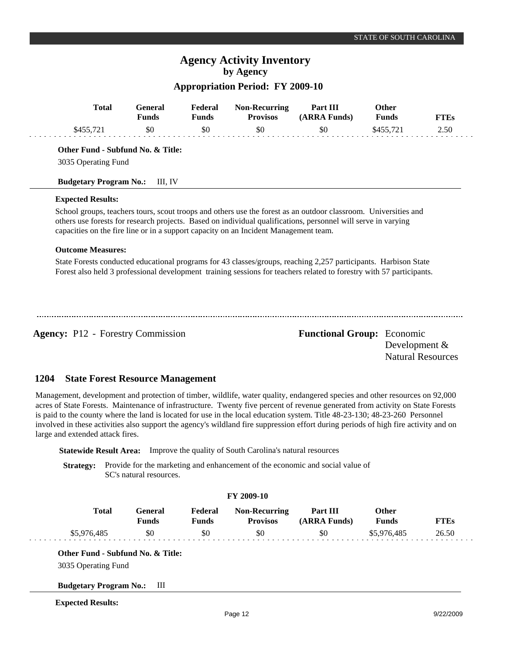**Other** 

**Part III** 

## **Agency Activity Inventory by Agency**

## **Appropriation Period: FY 2009-10**

| <b>Total</b>                                                                                                                                                                                                                                                                                                                                                                                                                                                                                                                                                                                | <b>General</b><br><b>Funds</b> | Federal<br><b>Funds</b> | <b>Non-Recurring</b><br><b>Provisos</b>                                                                                                                           | Part III<br>(ARRA Funds)          | Other<br><b>Funds</b>       | <b>FTEs</b>              |
|---------------------------------------------------------------------------------------------------------------------------------------------------------------------------------------------------------------------------------------------------------------------------------------------------------------------------------------------------------------------------------------------------------------------------------------------------------------------------------------------------------------------------------------------------------------------------------------------|--------------------------------|-------------------------|-------------------------------------------------------------------------------------------------------------------------------------------------------------------|-----------------------------------|-----------------------------|--------------------------|
| \$455,721                                                                                                                                                                                                                                                                                                                                                                                                                                                                                                                                                                                   | \$0                            | \$0                     | \$0                                                                                                                                                               | \$0                               | \$455,721                   | 2.50                     |
| Other Fund - Subfund No. & Title:<br>3035 Operating Fund                                                                                                                                                                                                                                                                                                                                                                                                                                                                                                                                    |                                |                         |                                                                                                                                                                   |                                   |                             |                          |
| <b>Budgetary Program No.:</b>                                                                                                                                                                                                                                                                                                                                                                                                                                                                                                                                                               | III, IV                        |                         |                                                                                                                                                                   |                                   |                             |                          |
| <b>Expected Results:</b>                                                                                                                                                                                                                                                                                                                                                                                                                                                                                                                                                                    |                                |                         |                                                                                                                                                                   |                                   |                             |                          |
| School groups, teachers tours, scout troops and others use the forest as an outdoor classroom. Universities and<br>others use forests for research projects. Based on individual qualifications, personnel will serve in varying<br>capacities on the fire line or in a support capacity on an Incident Management team.                                                                                                                                                                                                                                                                    |                                |                         |                                                                                                                                                                   |                                   |                             |                          |
| <b>Outcome Measures:</b>                                                                                                                                                                                                                                                                                                                                                                                                                                                                                                                                                                    |                                |                         |                                                                                                                                                                   |                                   |                             |                          |
| State Forests conducted educational programs for 43 classes/groups, reaching 2,257 participants. Harbison State<br>Forest also held 3 professional development training sessions for teachers related to forestry with 57 participants.                                                                                                                                                                                                                                                                                                                                                     |                                |                         |                                                                                                                                                                   |                                   |                             |                          |
| <b>Agency: P12 - Forestry Commission</b>                                                                                                                                                                                                                                                                                                                                                                                                                                                                                                                                                    |                                |                         |                                                                                                                                                                   | <b>Functional Group:</b> Economic | Development $&$             | <b>Natural Resources</b> |
| 1204<br><b>State Forest Resource Management</b>                                                                                                                                                                                                                                                                                                                                                                                                                                                                                                                                             |                                |                         |                                                                                                                                                                   |                                   |                             |                          |
| Management, development and protection of timber, wildlife, water quality, endangered species and other resources on 92,000<br>acres of State Forests. Maintenance of infrastructure. Twenty five percent of revenue generated from activity on State Forests<br>is paid to the county where the land is located for use in the local education system. Title 48-23-130; 48-23-260 Personnel<br>involved in these activities also support the agency's wildland fire suppression effort during periods of high fire activity and on<br>large and extended attack fires.<br><b>Strategy:</b> | SC's natural resources.        |                         | Statewide Result Area: Improve the quality of South Carolina's natural resources<br>Provide for the marketing and enhancement of the economic and social value of |                                   |                             |                          |
|                                                                                                                                                                                                                                                                                                                                                                                                                                                                                                                                                                                             |                                |                         |                                                                                                                                                                   |                                   |                             |                          |
| <b>Total</b>                                                                                                                                                                                                                                                                                                                                                                                                                                                                                                                                                                                | <b>General</b>                 | Federal                 | FY 2009-10<br><b>Non-Recurring</b>                                                                                                                                | Part III                          | Other                       |                          |
| \$5,976,485                                                                                                                                                                                                                                                                                                                                                                                                                                                                                                                                                                                 | <b>Funds</b><br>\$0            | <b>Funds</b><br>\$0     | <b>Provisos</b><br>\$0                                                                                                                                            | (ARRA Funds)<br>\$0               | <b>Funds</b><br>\$5,976,485 | <b>FTEs</b><br>26.50     |
|                                                                                                                                                                                                                                                                                                                                                                                                                                                                                                                                                                                             |                                |                         |                                                                                                                                                                   |                                   |                             |                          |
| Other Fund - Subfund No. & Title:                                                                                                                                                                                                                                                                                                                                                                                                                                                                                                                                                           |                                |                         |                                                                                                                                                                   |                                   |                             |                          |
| 3035 Operating Fund                                                                                                                                                                                                                                                                                                                                                                                                                                                                                                                                                                         |                                |                         |                                                                                                                                                                   |                                   |                             |                          |
| <b>Budgetary Program No.:</b>                                                                                                                                                                                                                                                                                                                                                                                                                                                                                                                                                               | Ш                              |                         |                                                                                                                                                                   |                                   |                             |                          |

**Expected Results:**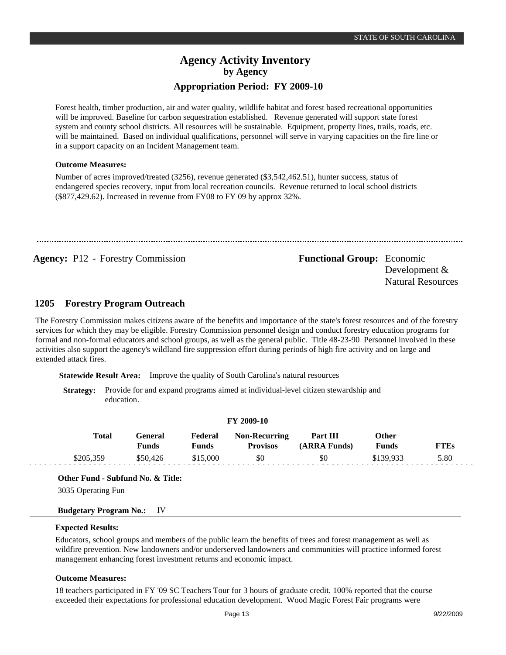Forest health, timber production, air and water quality, wildlife habitat and forest based recreational opportunities will be improved. Baseline for carbon sequestration established. Revenue generated will support state forest system and county school districts. All resources will be sustainable. Equipment, property lines, trails, roads, etc. will be maintained. Based on individual qualifications, personnel will serve in varying capacities on the fire line or in a support capacity on an Incident Management team.

## **Outcome Measures:**

Number of acres improved/treated (3256), revenue generated (\$3,542,462.51), hunter success, status of endangered species recovery, input from local recreation councils. Revenue returned to local school districts (\$877,429.62). Increased in revenue from FY08 to FY 09 by approx 32%.

**Agency:** P12 - Forestry Commission **Functional Group:** Economic

Development & Natural Resources

#### **Forestry Program Outreach 1205**

The Forestry Commission makes citizens aware of the benefits and importance of the state's forest resources and of the forestry services for which they may be eligible. Forestry Commission personnel design and conduct forestry education programs for formal and non-formal educators and school groups, as well as the general public. Title 48-23-90 Personnel involved in these activities also support the agency's wildland fire suppression effort during periods of high fire activity and on large and extended attack fires.

**Statewide Result Area:** Improve the quality of South Carolina's natural resources

**Strategy:** Provide for and expand programs aimed at individual-level citizen stewardship and education.

### **FY 2009-10**

| Total     | General)<br>Funds | Federal<br>Funds | <b>Non-Recurring</b><br><b>Provisos</b> | Part III<br>(ARRA Funds) | <b>Other</b><br><b>Funds</b> | <b>FTEs</b> |
|-----------|-------------------|------------------|-----------------------------------------|--------------------------|------------------------------|-------------|
| \$205,359 | \$50.426          | \$15,000         | \$0                                     | \$0                      | \$139.933                    | 5.80        |

**Other Fund - Subfund No. & Title:**

3035 Operating Fun

### **Budgetary Program No.:** IV

## **Expected Results:**

Educators, school groups and members of the public learn the benefits of trees and forest management as well as wildfire prevention. New landowners and/or underserved landowners and communities will practice informed forest management enhancing forest investment returns and economic impact.

## **Outcome Measures:**

18 teachers participated in FY '09 SC Teachers Tour for 3 hours of graduate credit. 100% reported that the course exceeded their expectations for professional education development. Wood Magic Forest Fair programs were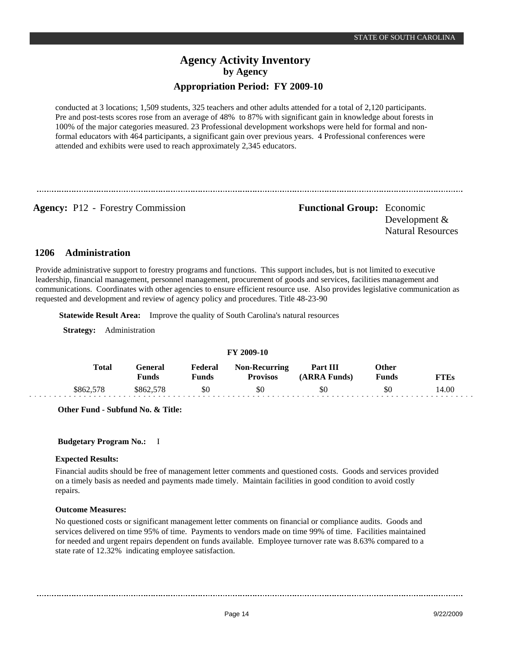conducted at 3 locations; 1,509 students, 325 teachers and other adults attended for a total of 2,120 participants. Pre and post-tests scores rose from an average of 48% to 87% with significant gain in knowledge about forests in 100% of the major categories measured. 23 Professional development workshops were held for formal and nonformal educators with 464 participants, a significant gain over previous years. 4 Professional conferences were attended and exhibits were used to reach approximately 2,345 educators.

**Agency:** P12 - Forestry Commission Functional Group: Economic Development & Natural Resources

#### **Administration 1206**

Provide administrative support to forestry programs and functions. This support includes, but is not limited to executive leadership, financial management, personnel management, procurement of goods and services, facilities management and communications. Coordinates with other agencies to ensure efficient resource use. Also provides legislative communication as requested and development and review of agency policy and procedures. Title 48-23-90

**Statewide Result Area:** Improve the quality of South Carolina's natural resources

**Strategy:** Administration

| F I 2009-10 |              |                  |                  |                                         |                          |                |             |
|-------------|--------------|------------------|------------------|-----------------------------------------|--------------------------|----------------|-------------|
|             | <b>Total</b> | General<br>Funds | Federal<br>Funds | <b>Non-Recurring</b><br><b>Provisos</b> | Part III<br>(ARRA Funds) | Other<br>Funds | <b>FTEs</b> |
|             | \$862,578    | \$862,578        | \$0              | \$0                                     | \$0                      | \$0            | 14.00       |

**FY 2009-10**

**Other Fund - Subfund No. & Title:**

**Budgetary Program No.:** I

## **Expected Results:**

Financial audits should be free of management letter comments and questioned costs. Goods and services provided on a timely basis as needed and payments made timely. Maintain facilities in good condition to avoid costly repairs.

## **Outcome Measures:**

No questioned costs or significant management letter comments on financial or compliance audits. Goods and services delivered on time 95% of time. Payments to vendors made on time 99% of time. Facilities maintained for needed and urgent repairs dependent on funds available. Employee turnover rate was 8.63% compared to a state rate of 12.32% indicating employee satisfaction.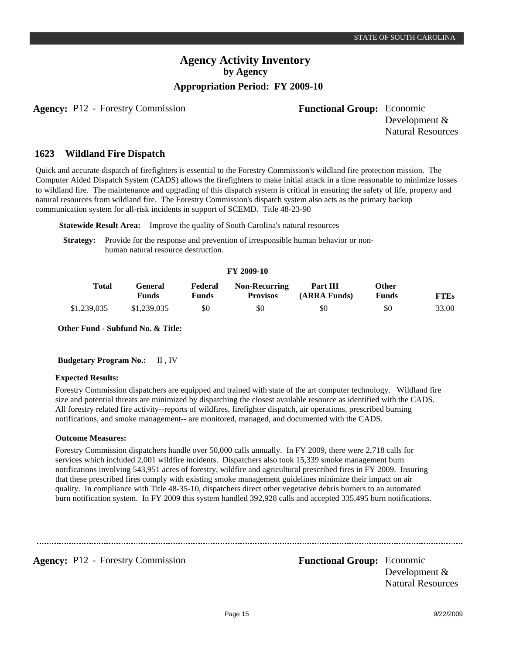**Agency:** P12 - Forestry Commission Functional Group: Economic

Development & Natural Resources

#### **Wildland Fire Dispatch 1623**

Quick and accurate dispatch of firefighters is essential to the Forestry Commission's wildland fire protection mission. The Computer Aided Dispatch System (CADS) allows the firefighters to make initial attack in a time reasonable to minimize losses to wildland fire. The maintenance and upgrading of this dispatch system is critical in ensuring the safety of life, property and natural resources from wildland fire. The Forestry Commission's dispatch system also acts as the primary backup communication system for all-risk incidents in support of SCEMD. Title 48-23-90

**Statewide Result Area:** Improve the quality of South Carolina's natural resources

**Strategy:** Provide for the response and prevention of irresponsible human behavior or nonhuman natural resource destruction.

## **FY 2009-10**

| <b>Total</b> | General)<br><b>Funds</b> | Federal<br>Funds | <b>Non-Recurring</b><br><b>Provisos</b> | Part III<br>(ARRA Funds) | Other<br>Funds | <b>FTEs</b> |
|--------------|--------------------------|------------------|-----------------------------------------|--------------------------|----------------|-------------|
| \$1,239,035  | \$1,239,035              | \$0              | \$0                                     | \$0                      | \$0            | 33.00       |

**Other Fund - Subfund No. & Title:**

## **Budgetary Program No.:** II , IV

## **Expected Results:**

Forestry Commission dispatchers are equipped and trained with state of the art computer technology. Wildland fire size and potential threats are minimized by dispatching the closest available resource as identified with the CADS. All forestry related fire activity--reports of wildfires, firefighter dispatch, air operations, prescribed burning notifications, and smoke management-- are monitored, managed, and documented with the CADS.

## **Outcome Measures:**

Forestry Commission dispatchers handle over 50,000 calls annually. In FY 2009, there were 2,718 calls for services which included 2,001 wildfire incidents. Dispatchers also took 15,339 smoke management burn notifications involving 543,951 acres of forestry, wildfire and agricultural prescribed fires in FY 2009. Insuring that these prescribed fires comply with existing smoke management guidelines minimize their impact on air quality. In compliance with Title 48-35-10, dispatchers direct other vegetative debris burners to an automated burn notification system. In FY 2009 this system handled 392,928 calls and accepted 335,495 burn notifications.

**Agency:** P12 - Forestry Commission **Functional Group:** Economic

Development & Natural Resources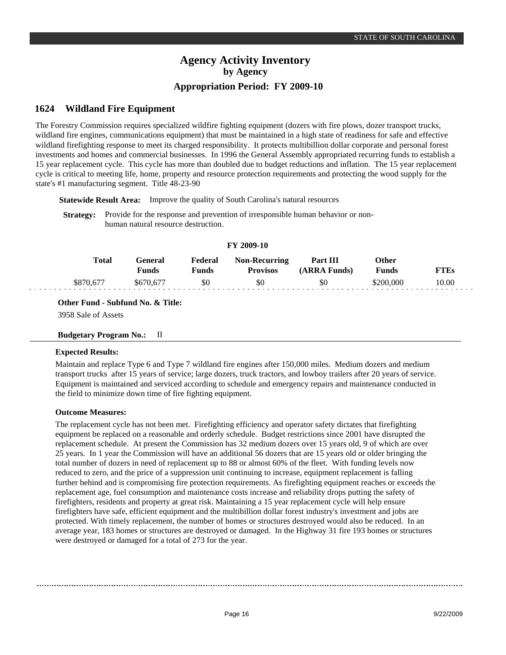#### **Wildland Fire Equipment 1624**

The Forestry Commission requires specialized wildfire fighting equipment (dozers with fire plows, dozer transport trucks, wildland fire engines, communications equipment) that must be maintained in a high state of readiness for safe and effective wildland firefighting response to meet its charged responsibility. It protects multibillion dollar corporate and personal forest investments and homes and commercial businesses. In 1996 the General Assembly appropriated recurring funds to establish a 15 year replacement cycle. This cycle has more than doubled due to budget reductions and inflation. The 15 year replacement cycle is critical to meeting life, home, property and resource protection requirements and protecting the wood supply for the state's #1 manufacturing segment. Title 48-23-90

**Statewide Result Area:** Improve the quality of South Carolina's natural resources

**Strategy:** Provide for the response and prevention of irresponsible human behavior or nonhuman natural resource destruction.

| FY 2009-10 |           |                  |                         |                                         |                          |                       |             |
|------------|-----------|------------------|-------------------------|-----------------------------------------|--------------------------|-----------------------|-------------|
|            | Total     | General<br>Funds | Federal<br><b>Funds</b> | <b>Non-Recurring</b><br><b>Provisos</b> | Part III<br>(ARRA Funds) | Other<br><b>Funds</b> | <b>FTEs</b> |
|            | \$870,677 | \$670,677        | \$0                     | \$0                                     | \$0                      | \$200,000             | 10.00       |

**Other Fund - Subfund No. & Title:**

3958 Sale of Assets

## **Budgetary Program No.:** II

## **Expected Results:**

Maintain and replace Type 6 and Type 7 wildland fire engines after 150,000 miles. Medium dozers and medium transport trucks after 15 years of service; large dozers, truck tractors, and lowboy trailers after 20 years of service. Equipment is maintained and serviced according to schedule and emergency repairs and maintenance conducted in the field to minimize down time of fire fighting equipment.

## **Outcome Measures:**

The replacement cycle has not been met. Firefighting efficiency and operator safety dictates that firefighting equipment be replaced on a reasonable and orderly schedule. Budget restrictions since 2001 have disrupted the replacement schedule. At present the Commission has 32 medium dozers over 15 years old, 9 of which are over 25 years. In 1 year the Commission will have an additional 56 dozers that are 15 years old or older bringing the total number of dozers in need of replacement up to 88 or almost 60% of the fleet. With funding levels now reduced to zero, and the price of a suppression unit continuing to increase, equipment replacement is falling further behind and is compromising fire protection requirements. As firefighting equipment reaches or exceeds the replacement age, fuel consumption and maintenance costs increase and reliability drops putting the safety of firefighters, residents and property at great risk. Maintaining a 15 year replacement cycle will help ensure firefighters have safe, efficient equipment and the multibillion dollar forest industry's investment and jobs are protected. With timely replacement, the number of homes or structures destroyed would also be reduced. In an average year, 183 homes or structures are destroyed or damaged. In the Highway 31 fire 193 homes or structures were destroyed or damaged for a total of 273 for the year.